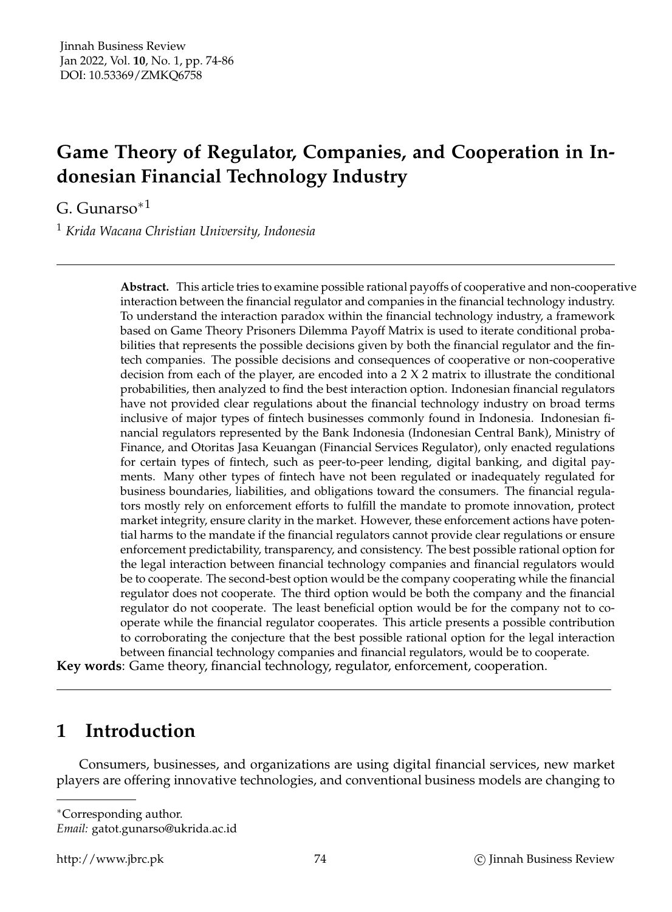# **Game Theory of Regulator, Companies, and Cooperation in Indonesian Financial Technology Industry**

G. Gunarso∗<sup>1</sup>

<sup>1</sup> *Krida Wacana Christian University, Indonesia*

**Abstract.** This article tries to examine possible rational payoffs of cooperative and non-cooperative interaction between the financial regulator and companies in the financial technology industry. To understand the interaction paradox within the financial technology industry, a framework based on Game Theory Prisoners Dilemma Payoff Matrix is used to iterate conditional probabilities that represents the possible decisions given by both the financial regulator and the fintech companies. The possible decisions and consequences of cooperative or non-cooperative decision from each of the player, are encoded into a 2 X 2 matrix to illustrate the conditional probabilities, then analyzed to find the best interaction option. Indonesian financial regulators have not provided clear regulations about the financial technology industry on broad terms inclusive of major types of fintech businesses commonly found in Indonesia. Indonesian financial regulators represented by the Bank Indonesia (Indonesian Central Bank), Ministry of Finance, and Otoritas Jasa Keuangan (Financial Services Regulator), only enacted regulations for certain types of fintech, such as peer-to-peer lending, digital banking, and digital payments. Many other types of fintech have not been regulated or inadequately regulated for business boundaries, liabilities, and obligations toward the consumers. The financial regulators mostly rely on enforcement efforts to fulfill the mandate to promote innovation, protect market integrity, ensure clarity in the market. However, these enforcement actions have potential harms to the mandate if the financial regulators cannot provide clear regulations or ensure enforcement predictability, transparency, and consistency. The best possible rational option for the legal interaction between financial technology companies and financial regulators would be to cooperate. The second-best option would be the company cooperating while the financial regulator does not cooperate. The third option would be both the company and the financial regulator do not cooperate. The least beneficial option would be for the company not to cooperate while the financial regulator cooperates. This article presents a possible contribution to corroborating the conjecture that the best possible rational option for the legal interaction between financial technology companies and financial regulators, would be to cooperate.

**Key words**: Game theory, financial technology, regulator, enforcement, cooperation.

## **1 Introduction**

Consumers, businesses, and organizations are using digital financial services, new market players are offering innovative technologies, and conventional business models are changing to

<sup>∗</sup>Corresponding author.

*Email:* gatot.gunarso@ukrida.ac.id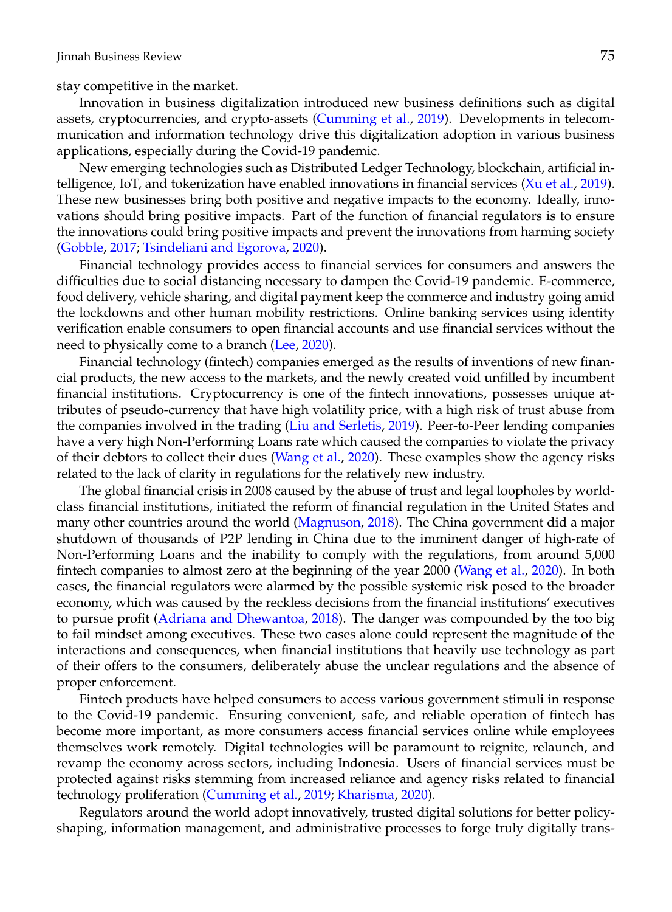stay competitive in the market.

Innovation in business digitalization introduced new business definitions such as digital assets, cryptocurrencies, and crypto-assets [\(Cumming et al.,](#page-10-0) [2019\)](#page-10-0). Developments in telecommunication and information technology drive this digitalization adoption in various business applications, especially during the Covid-19 pandemic.

New emerging technologies such as Distributed Ledger Technology, blockchain, artificial intelligence, IoT, and tokenization have enabled innovations in financial services [\(Xu et al.,](#page-12-0) [2019\)](#page-12-0). These new businesses bring both positive and negative impacts to the economy. Ideally, innovations should bring positive impacts. Part of the function of financial regulators is to ensure the innovations could bring positive impacts and prevent the innovations from harming society [\(Gobble,](#page-11-0) [2017;](#page-11-0) [Tsindeliani and Egorova,](#page-12-1) [2020\)](#page-12-1).

Financial technology provides access to financial services for consumers and answers the difficulties due to social distancing necessary to dampen the Covid-19 pandemic. E-commerce, food delivery, vehicle sharing, and digital payment keep the commerce and industry going amid the lockdowns and other human mobility restrictions. Online banking services using identity verification enable consumers to open financial accounts and use financial services without the need to physically come to a branch [\(Lee,](#page-11-1) [2020\)](#page-11-1).

Financial technology (fintech) companies emerged as the results of inventions of new financial products, the new access to the markets, and the newly created void unfilled by incumbent financial institutions. Cryptocurrency is one of the fintech innovations, possesses unique attributes of pseudo-currency that have high volatility price, with a high risk of trust abuse from the companies involved in the trading [\(Liu and Serletis,](#page-11-2) [2019\)](#page-11-2). Peer-to-Peer lending companies have a very high Non-Performing Loans rate which caused the companies to violate the privacy of their debtors to collect their dues [\(Wang et al.,](#page-12-2) [2020\)](#page-12-2). These examples show the agency risks related to the lack of clarity in regulations for the relatively new industry.

The global financial crisis in 2008 caused by the abuse of trust and legal loopholes by worldclass financial institutions, initiated the reform of financial regulation in the United States and many other countries around the world [\(Magnuson,](#page-11-3) [2018\)](#page-11-3). The China government did a major shutdown of thousands of P2P lending in China due to the imminent danger of high-rate of Non-Performing Loans and the inability to comply with the regulations, from around 5,000 fintech companies to almost zero at the beginning of the year 2000 [\(Wang et al.,](#page-12-2) [2020\)](#page-12-2). In both cases, the financial regulators were alarmed by the possible systemic risk posed to the broader economy, which was caused by the reckless decisions from the financial institutions' executives to pursue profit [\(Adriana and Dhewantoa,](#page-10-1) [2018\)](#page-10-1). The danger was compounded by the too big to fail mindset among executives. These two cases alone could represent the magnitude of the interactions and consequences, when financial institutions that heavily use technology as part of their offers to the consumers, deliberately abuse the unclear regulations and the absence of proper enforcement.

Fintech products have helped consumers to access various government stimuli in response to the Covid-19 pandemic. Ensuring convenient, safe, and reliable operation of fintech has become more important, as more consumers access financial services online while employees themselves work remotely. Digital technologies will be paramount to reignite, relaunch, and revamp the economy across sectors, including Indonesia. Users of financial services must be protected against risks stemming from increased reliance and agency risks related to financial technology proliferation [\(Cumming et al.,](#page-10-0) [2019;](#page-10-0) [Kharisma,](#page-11-4) [2020\)](#page-11-4).

Regulators around the world adopt innovatively, trusted digital solutions for better policyshaping, information management, and administrative processes to forge truly digitally trans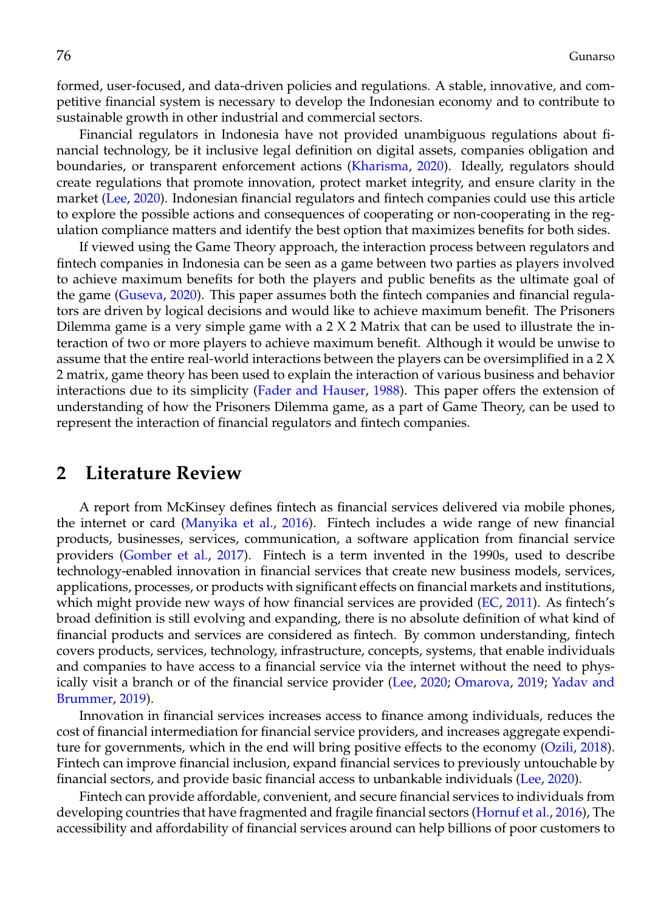formed, user-focused, and data-driven policies and regulations. A stable, innovative, and competitive financial system is necessary to develop the Indonesian economy and to contribute to sustainable growth in other industrial and commercial sectors.

Financial regulators in Indonesia have not provided unambiguous regulations about financial technology, be it inclusive legal definition on digital assets, companies obligation and boundaries, or transparent enforcement actions [\(Kharisma,](#page-11-4) [2020\)](#page-11-4). Ideally, regulators should create regulations that promote innovation, protect market integrity, and ensure clarity in the market [\(Lee,](#page-11-1) [2020\)](#page-11-1). Indonesian financial regulators and fintech companies could use this article to explore the possible actions and consequences of cooperating or non-cooperating in the regulation compliance matters and identify the best option that maximizes benefits for both sides.

If viewed using the Game Theory approach, the interaction process between regulators and fintech companies in Indonesia can be seen as a game between two parties as players involved to achieve maximum benefits for both the players and public benefits as the ultimate goal of the game [\(Guseva,](#page-11-5) [2020\)](#page-11-5). This paper assumes both the fintech companies and financial regulators are driven by logical decisions and would like to achieve maximum benefit. The Prisoners Dilemma game is a very simple game with a  $2 \times 2$  Matrix that can be used to illustrate the interaction of two or more players to achieve maximum benefit. Although it would be unwise to assume that the entire real-world interactions between the players can be oversimplified in a 2 X 2 matrix, game theory has been used to explain the interaction of various business and behavior interactions due to its simplicity [\(Fader and Hauser,](#page-10-2) [1988\)](#page-10-2). This paper offers the extension of understanding of how the Prisoners Dilemma game, as a part of Game Theory, can be used to represent the interaction of financial regulators and fintech companies.

#### **2 Literature Review**

A report from McKinsey defines fintech as financial services delivered via mobile phones, the internet or card [\(Manyika et al.,](#page-11-6) [2016\)](#page-11-6). Fintech includes a wide range of new financial products, businesses, services, communication, a software application from financial service providers [\(Gomber et al.,](#page-11-7) [2017\)](#page-11-7). Fintech is a term invented in the 1990s, used to describe technology-enabled innovation in financial services that create new business models, services, applications, processes, or products with significant effects on financial markets and institutions, which might provide new ways of how financial services are provided [\(EC,](#page-10-3) [2011\)](#page-10-3). As fintech's broad definition is still evolving and expanding, there is no absolute definition of what kind of financial products and services are considered as fintech. By common understanding, fintech covers products, services, technology, infrastructure, concepts, systems, that enable individuals and companies to have access to a financial service via the internet without the need to physically visit a branch or of the financial service provider [\(Lee,](#page-11-1) [2020;](#page-11-1) [Omarova,](#page-11-8) [2019;](#page-11-8) [Yadav and](#page-12-3) [Brummer,](#page-12-3) [2019\)](#page-12-3).

Innovation in financial services increases access to finance among individuals, reduces the cost of financial intermediation for financial service providers, and increases aggregate expenditure for governments, which in the end will bring positive effects to the economy [\(Ozili,](#page-11-9) [2018\)](#page-11-9). Fintech can improve financial inclusion, expand financial services to previously untouchable by financial sectors, and provide basic financial access to unbankable individuals [\(Lee,](#page-11-1) [2020\)](#page-11-1).

Fintech can provide affordable, convenient, and secure financial services to individuals from developing countries that have fragmented and fragile financial sectors [\(Hornuf et al.,](#page-11-10) [2016\)](#page-11-10), The accessibility and affordability of financial services around can help billions of poor customers to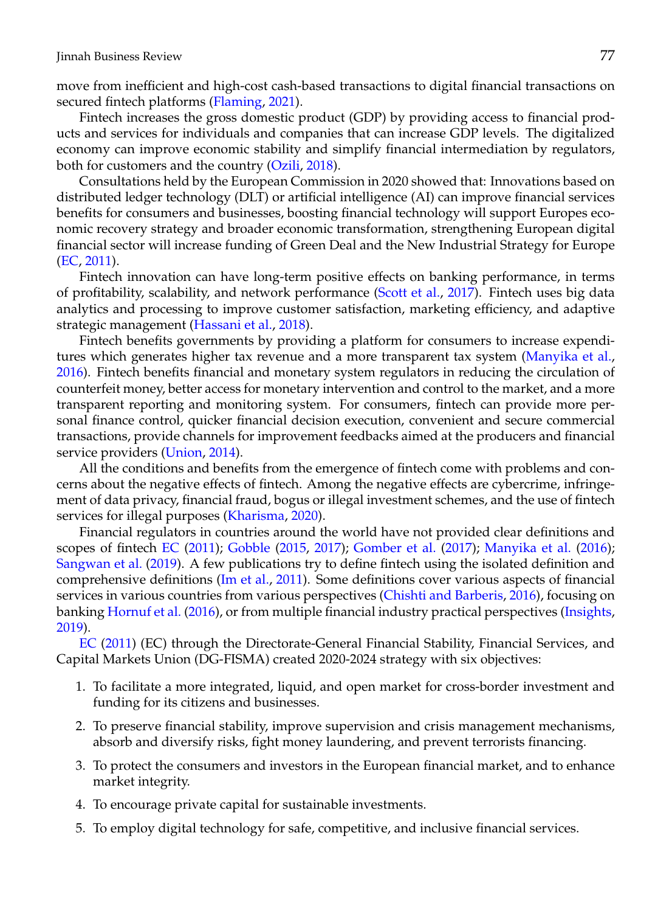move from inefficient and high-cost cash-based transactions to digital financial transactions on secured fintech platforms [\(Flaming,](#page-11-11) [2021\)](#page-11-11).

Fintech increases the gross domestic product (GDP) by providing access to financial products and services for individuals and companies that can increase GDP levels. The digitalized economy can improve economic stability and simplify financial intermediation by regulators, both for customers and the country [\(Ozili,](#page-11-9) [2018\)](#page-11-9).

Consultations held by the European Commission in 2020 showed that: Innovations based on distributed ledger technology (DLT) or artificial intelligence (AI) can improve financial services benefits for consumers and businesses, boosting financial technology will support Europes economic recovery strategy and broader economic transformation, strengthening European digital financial sector will increase funding of Green Deal and the New Industrial Strategy for Europe [\(EC,](#page-10-3) [2011\)](#page-10-3).

Fintech innovation can have long-term positive effects on banking performance, in terms of profitability, scalability, and network performance [\(Scott et al.,](#page-11-12) [2017\)](#page-11-12). Fintech uses big data analytics and processing to improve customer satisfaction, marketing efficiency, and adaptive strategic management [\(Hassani et al.,](#page-11-13) [2018\)](#page-11-13).

Fintech benefits governments by providing a platform for consumers to increase expenditures which generates higher tax revenue and a more transparent tax system [\(Manyika et al.,](#page-11-6) [2016\)](#page-11-6). Fintech benefits financial and monetary system regulators in reducing the circulation of counterfeit money, better access for monetary intervention and control to the market, and a more transparent reporting and monitoring system. For consumers, fintech can provide more personal finance control, quicker financial decision execution, convenient and secure commercial transactions, provide channels for improvement feedbacks aimed at the producers and financial service providers [\(Union,](#page-12-4) [2014\)](#page-12-4).

All the conditions and benefits from the emergence of fintech come with problems and concerns about the negative effects of fintech. Among the negative effects are cybercrime, infringement of data privacy, financial fraud, bogus or illegal investment schemes, and the use of fintech services for illegal purposes [\(Kharisma,](#page-11-4) [2020\)](#page-11-4).

Financial regulators in countries around the world have not provided clear definitions and scopes of fintech [EC](#page-10-3) [\(2011\)](#page-10-3); [Gobble](#page-11-14) [\(2015,](#page-11-14) [2017\)](#page-11-0); [Gomber et al.](#page-11-7) [\(2017\)](#page-11-7); [Manyika et al.](#page-11-6) [\(2016\)](#page-11-6); [Sangwan et al.](#page-11-15) [\(2019\)](#page-11-15). A few publications try to define fintech using the isolated definition and comprehensive definitions [\(Im et al.,](#page-11-16) [2011\)](#page-11-16). Some definitions cover various aspects of financial services in various countries from various perspectives [\(Chishti and Barberis,](#page-10-4) [2016\)](#page-10-4), focusing on banking [Hornuf et al.](#page-11-10) [\(2016\)](#page-11-10), or from multiple financial industry practical perspectives [\(Insights,](#page-11-17) [2019\)](#page-11-17).

[EC](#page-10-3) [\(2011\)](#page-10-3) (EC) through the Directorate-General Financial Stability, Financial Services, and Capital Markets Union (DG-FISMA) created 2020-2024 strategy with six objectives:

- 1. To facilitate a more integrated, liquid, and open market for cross-border investment and funding for its citizens and businesses.
- 2. To preserve financial stability, improve supervision and crisis management mechanisms, absorb and diversify risks, fight money laundering, and prevent terrorists financing.
- 3. To protect the consumers and investors in the European financial market, and to enhance market integrity.
- 4. To encourage private capital for sustainable investments.
- 5. To employ digital technology for safe, competitive, and inclusive financial services.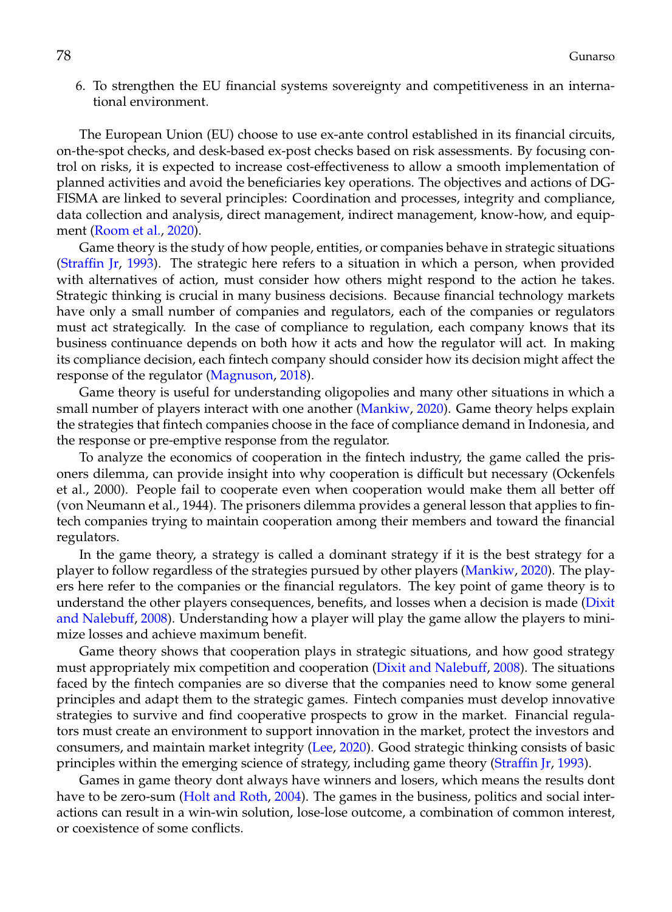6. To strengthen the EU financial systems sovereignty and competitiveness in an international environment.

The European Union (EU) choose to use ex-ante control established in its financial circuits, on-the-spot checks, and desk-based ex-post checks based on risk assessments. By focusing control on risks, it is expected to increase cost-effectiveness to allow a smooth implementation of planned activities and avoid the beneficiaries key operations. The objectives and actions of DG-FISMA are linked to several principles: Coordination and processes, integrity and compliance, data collection and analysis, direct management, indirect management, know-how, and equip-ment [\(Room et al.,](#page-11-18) [2020\)](#page-11-18).

Game theory is the study of how people, entities, or companies behave in strategic situations [\(Straffin Jr,](#page-11-19) [1993\)](#page-11-19). The strategic here refers to a situation in which a person, when provided with alternatives of action, must consider how others might respond to the action he takes. Strategic thinking is crucial in many business decisions. Because financial technology markets have only a small number of companies and regulators, each of the companies or regulators must act strategically. In the case of compliance to regulation, each company knows that its business continuance depends on both how it acts and how the regulator will act. In making its compliance decision, each fintech company should consider how its decision might affect the response of the regulator [\(Magnuson,](#page-11-3) [2018\)](#page-11-3).

Game theory is useful for understanding oligopolies and many other situations in which a small number of players interact with one another [\(Mankiw,](#page-11-20) [2020\)](#page-11-20). Game theory helps explain the strategies that fintech companies choose in the face of compliance demand in Indonesia, and the response or pre-emptive response from the regulator.

To analyze the economics of cooperation in the fintech industry, the game called the prisoners dilemma, can provide insight into why cooperation is difficult but necessary (Ockenfels et al., 2000). People fail to cooperate even when cooperation would make them all better off (von Neumann et al., 1944). The prisoners dilemma provides a general lesson that applies to fintech companies trying to maintain cooperation among their members and toward the financial regulators.

In the game theory, a strategy is called a dominant strategy if it is the best strategy for a player to follow regardless of the strategies pursued by other players [\(Mankiw,](#page-11-20) [2020\)](#page-11-20). The players here refer to the companies or the financial regulators. The key point of game theory is to understand the other players consequences, benefits, and losses when a decision is made [\(Dixit](#page-10-5) [and Nalebuff,](#page-10-5) [2008\)](#page-10-5). Understanding how a player will play the game allow the players to minimize losses and achieve maximum benefit.

Game theory shows that cooperation plays in strategic situations, and how good strategy must appropriately mix competition and cooperation [\(Dixit and Nalebuff,](#page-10-5) [2008\)](#page-10-5). The situations faced by the fintech companies are so diverse that the companies need to know some general principles and adapt them to the strategic games. Fintech companies must develop innovative strategies to survive and find cooperative prospects to grow in the market. Financial regulators must create an environment to support innovation in the market, protect the investors and consumers, and maintain market integrity [\(Lee,](#page-11-1) [2020\)](#page-11-1). Good strategic thinking consists of basic principles within the emerging science of strategy, including game theory [\(Straffin Jr,](#page-11-19) [1993\)](#page-11-19).

Games in game theory dont always have winners and losers, which means the results dont have to be zero-sum [\(Holt and Roth,](#page-11-21) [2004\)](#page-11-21). The games in the business, politics and social interactions can result in a win-win solution, lose-lose outcome, a combination of common interest, or coexistence of some conflicts.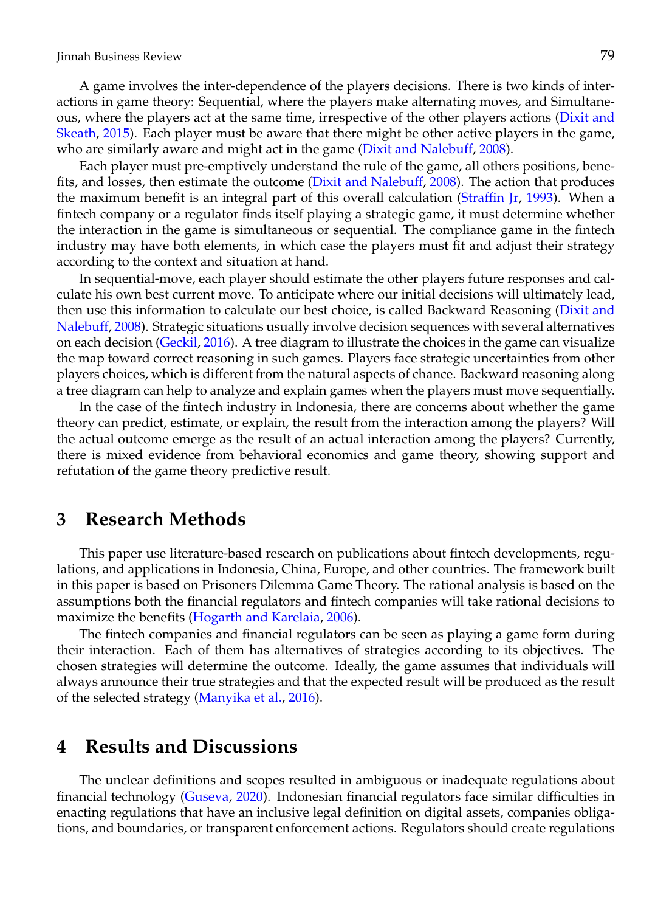A game involves the inter-dependence of the players decisions. There is two kinds of interactions in game theory: Sequential, where the players make alternating moves, and Simultaneous, where the players act at the same time, irrespective of the other players actions [\(Dixit and](#page-10-6) [Skeath,](#page-10-6) [2015\)](#page-10-6). Each player must be aware that there might be other active players in the game, who are similarly aware and might act in the game [\(Dixit and Nalebuff,](#page-10-5) [2008\)](#page-10-5).

Each player must pre-emptively understand the rule of the game, all others positions, benefits, and losses, then estimate the outcome [\(Dixit and Nalebuff,](#page-10-5) [2008\)](#page-10-5). The action that produces the maximum benefit is an integral part of this overall calculation [\(Straffin Jr,](#page-11-19) [1993\)](#page-11-19). When a fintech company or a regulator finds itself playing a strategic game, it must determine whether the interaction in the game is simultaneous or sequential. The compliance game in the fintech industry may have both elements, in which case the players must fit and adjust their strategy according to the context and situation at hand.

In sequential-move, each player should estimate the other players future responses and calculate his own best current move. To anticipate where our initial decisions will ultimately lead, then use this information to calculate our best choice, is called Backward Reasoning [\(Dixit and](#page-10-5) [Nalebuff,](#page-10-5) [2008\)](#page-10-5). Strategic situations usually involve decision sequences with several alternatives on each decision [\(Geckil,](#page-11-22) [2016\)](#page-11-22). A tree diagram to illustrate the choices in the game can visualize the map toward correct reasoning in such games. Players face strategic uncertainties from other players choices, which is different from the natural aspects of chance. Backward reasoning along a tree diagram can help to analyze and explain games when the players must move sequentially.

In the case of the fintech industry in Indonesia, there are concerns about whether the game theory can predict, estimate, or explain, the result from the interaction among the players? Will the actual outcome emerge as the result of an actual interaction among the players? Currently, there is mixed evidence from behavioral economics and game theory, showing support and refutation of the game theory predictive result.

#### **3 Research Methods**

This paper use literature-based research on publications about fintech developments, regulations, and applications in Indonesia, China, Europe, and other countries. The framework built in this paper is based on Prisoners Dilemma Game Theory. The rational analysis is based on the assumptions both the financial regulators and fintech companies will take rational decisions to maximize the benefits [\(Hogarth and Karelaia,](#page-11-23) [2006\)](#page-11-23).

The fintech companies and financial regulators can be seen as playing a game form during their interaction. Each of them has alternatives of strategies according to its objectives. The chosen strategies will determine the outcome. Ideally, the game assumes that individuals will always announce their true strategies and that the expected result will be produced as the result of the selected strategy [\(Manyika et al.,](#page-11-6) [2016\)](#page-11-6).

#### **4 Results and Discussions**

The unclear definitions and scopes resulted in ambiguous or inadequate regulations about financial technology [\(Guseva,](#page-11-5) [2020\)](#page-11-5). Indonesian financial regulators face similar difficulties in enacting regulations that have an inclusive legal definition on digital assets, companies obligations, and boundaries, or transparent enforcement actions. Regulators should create regulations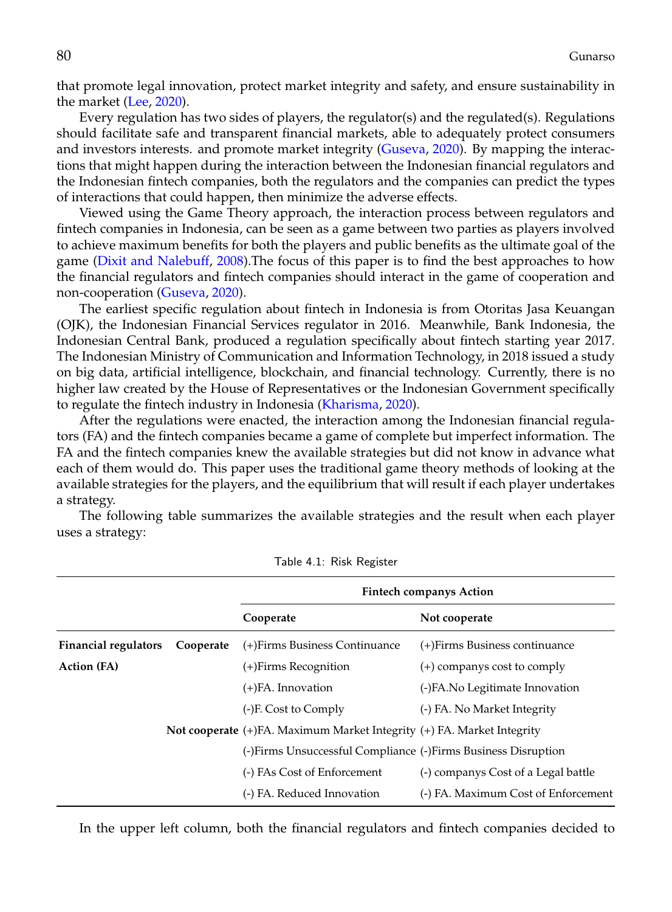that promote legal innovation, protect market integrity and safety, and ensure sustainability in the market [\(Lee,](#page-11-1) [2020\)](#page-11-1).

Every regulation has two sides of players, the regulator(s) and the regulated(s). Regulations should facilitate safe and transparent financial markets, able to adequately protect consumers and investors interests. and promote market integrity [\(Guseva,](#page-11-5) [2020\)](#page-11-5). By mapping the interactions that might happen during the interaction between the Indonesian financial regulators and the Indonesian fintech companies, both the regulators and the companies can predict the types of interactions that could happen, then minimize the adverse effects.

Viewed using the Game Theory approach, the interaction process between regulators and fintech companies in Indonesia, can be seen as a game between two parties as players involved to achieve maximum benefits for both the players and public benefits as the ultimate goal of the game [\(Dixit and Nalebuff,](#page-10-5) [2008\)](#page-10-5).The focus of this paper is to find the best approaches to how the financial regulators and fintech companies should interact in the game of cooperation and non-cooperation [\(Guseva,](#page-11-5) [2020\)](#page-11-5).

The earliest specific regulation about fintech in Indonesia is from Otoritas Jasa Keuangan (OJK), the Indonesian Financial Services regulator in 2016. Meanwhile, Bank Indonesia, the Indonesian Central Bank, produced a regulation specifically about fintech starting year 2017. The Indonesian Ministry of Communication and Information Technology, in 2018 issued a study on big data, artificial intelligence, blockchain, and financial technology. Currently, there is no higher law created by the House of Representatives or the Indonesian Government specifically to regulate the fintech industry in Indonesia [\(Kharisma,](#page-11-4) [2020\)](#page-11-4).

After the regulations were enacted, the interaction among the Indonesian financial regulators (FA) and the fintech companies became a game of complete but imperfect information. The FA and the fintech companies knew the available strategies but did not know in advance what each of them would do. This paper uses the traditional game theory methods of looking at the available strategies for the players, and the equilibrium that will result if each player undertakes a strategy.

The following table summarizes the available strategies and the result when each player uses a strategy:

|                             |           | <b>Fintech companys Action</b>                                         |                                     |
|-----------------------------|-----------|------------------------------------------------------------------------|-------------------------------------|
|                             |           | Cooperate                                                              | Not cooperate                       |
| <b>Financial regulators</b> | Cooperate | (+)Firms Business Continuance                                          | (+)Firms Business continuance       |
| Action (FA)                 |           | (+)Firms Recognition                                                   | $(+)$ companys cost to comply       |
|                             |           | $(+)$ FA. Innovation                                                   | (-)FA.No Legitimate Innovation      |
|                             |           | (-)F. Cost to Comply                                                   | (-) FA. No Market Integrity         |
|                             |           | Not cooperate (+)FA. Maximum Market Integrity (+) FA. Market Integrity |                                     |
|                             |           | (-)Firms Unsuccessful Compliance (-)Firms Business Disruption          |                                     |
|                             |           | (-) FAs Cost of Enforcement                                            | (-) companys Cost of a Legal battle |
|                             |           | (-) FA. Reduced Innovation                                             | (-) FA. Maximum Cost of Enforcement |
|                             |           |                                                                        |                                     |

Table 4.1: Risk Register

In the upper left column, both the financial regulators and fintech companies decided to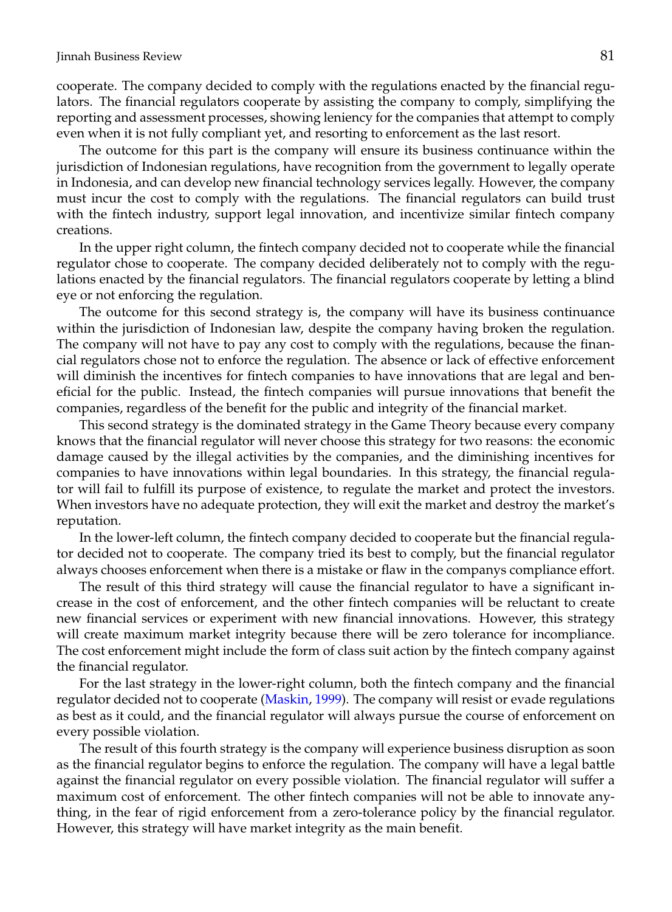cooperate. The company decided to comply with the regulations enacted by the financial regulators. The financial regulators cooperate by assisting the company to comply, simplifying the reporting and assessment processes, showing leniency for the companies that attempt to comply even when it is not fully compliant yet, and resorting to enforcement as the last resort.

The outcome for this part is the company will ensure its business continuance within the jurisdiction of Indonesian regulations, have recognition from the government to legally operate in Indonesia, and can develop new financial technology services legally. However, the company must incur the cost to comply with the regulations. The financial regulators can build trust with the fintech industry, support legal innovation, and incentivize similar fintech company creations.

In the upper right column, the fintech company decided not to cooperate while the financial regulator chose to cooperate. The company decided deliberately not to comply with the regulations enacted by the financial regulators. The financial regulators cooperate by letting a blind eye or not enforcing the regulation.

The outcome for this second strategy is, the company will have its business continuance within the jurisdiction of Indonesian law, despite the company having broken the regulation. The company will not have to pay any cost to comply with the regulations, because the financial regulators chose not to enforce the regulation. The absence or lack of effective enforcement will diminish the incentives for fintech companies to have innovations that are legal and beneficial for the public. Instead, the fintech companies will pursue innovations that benefit the companies, regardless of the benefit for the public and integrity of the financial market.

This second strategy is the dominated strategy in the Game Theory because every company knows that the financial regulator will never choose this strategy for two reasons: the economic damage caused by the illegal activities by the companies, and the diminishing incentives for companies to have innovations within legal boundaries. In this strategy, the financial regulator will fail to fulfill its purpose of existence, to regulate the market and protect the investors. When investors have no adequate protection, they will exit the market and destroy the market's reputation.

In the lower-left column, the fintech company decided to cooperate but the financial regulator decided not to cooperate. The company tried its best to comply, but the financial regulator always chooses enforcement when there is a mistake or flaw in the companys compliance effort.

The result of this third strategy will cause the financial regulator to have a significant increase in the cost of enforcement, and the other fintech companies will be reluctant to create new financial services or experiment with new financial innovations. However, this strategy will create maximum market integrity because there will be zero tolerance for incompliance. The cost enforcement might include the form of class suit action by the fintech company against the financial regulator.

For the last strategy in the lower-right column, both the fintech company and the financial regulator decided not to cooperate [\(Maskin,](#page-11-24) [1999\)](#page-11-24). The company will resist or evade regulations as best as it could, and the financial regulator will always pursue the course of enforcement on every possible violation.

The result of this fourth strategy is the company will experience business disruption as soon as the financial regulator begins to enforce the regulation. The company will have a legal battle against the financial regulator on every possible violation. The financial regulator will suffer a maximum cost of enforcement. The other fintech companies will not be able to innovate anything, in the fear of rigid enforcement from a zero-tolerance policy by the financial regulator. However, this strategy will have market integrity as the main benefit.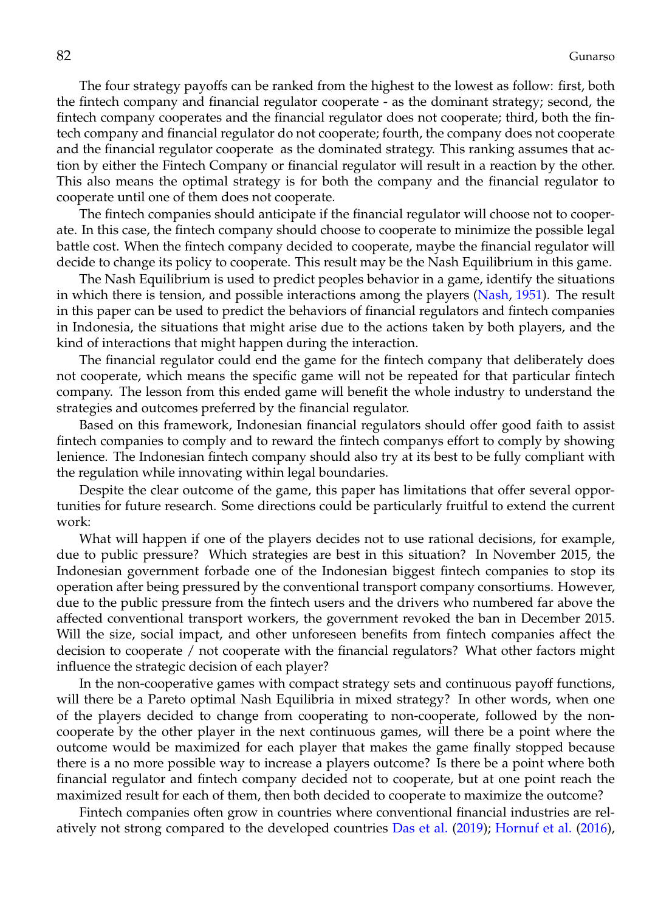The four strategy payoffs can be ranked from the highest to the lowest as follow: first, both the fintech company and financial regulator cooperate - as the dominant strategy; second, the fintech company cooperates and the financial regulator does not cooperate; third, both the fintech company and financial regulator do not cooperate; fourth, the company does not cooperate and the financial regulator cooperate as the dominated strategy. This ranking assumes that action by either the Fintech Company or financial regulator will result in a reaction by the other. This also means the optimal strategy is for both the company and the financial regulator to cooperate until one of them does not cooperate.

The fintech companies should anticipate if the financial regulator will choose not to cooperate. In this case, the fintech company should choose to cooperate to minimize the possible legal battle cost. When the fintech company decided to cooperate, maybe the financial regulator will decide to change its policy to cooperate. This result may be the Nash Equilibrium in this game.

The Nash Equilibrium is used to predict peoples behavior in a game, identify the situations in which there is tension, and possible interactions among the players [\(Nash,](#page-11-25) [1951\)](#page-11-25). The result in this paper can be used to predict the behaviors of financial regulators and fintech companies in Indonesia, the situations that might arise due to the actions taken by both players, and the kind of interactions that might happen during the interaction.

The financial regulator could end the game for the fintech company that deliberately does not cooperate, which means the specific game will not be repeated for that particular fintech company. The lesson from this ended game will benefit the whole industry to understand the strategies and outcomes preferred by the financial regulator.

Based on this framework, Indonesian financial regulators should offer good faith to assist fintech companies to comply and to reward the fintech companys effort to comply by showing lenience. The Indonesian fintech company should also try at its best to be fully compliant with the regulation while innovating within legal boundaries.

Despite the clear outcome of the game, this paper has limitations that offer several opportunities for future research. Some directions could be particularly fruitful to extend the current work:

What will happen if one of the players decides not to use rational decisions, for example, due to public pressure? Which strategies are best in this situation? In November 2015, the Indonesian government forbade one of the Indonesian biggest fintech companies to stop its operation after being pressured by the conventional transport company consortiums. However, due to the public pressure from the fintech users and the drivers who numbered far above the affected conventional transport workers, the government revoked the ban in December 2015. Will the size, social impact, and other unforeseen benefits from fintech companies affect the decision to cooperate / not cooperate with the financial regulators? What other factors might influence the strategic decision of each player?

In the non-cooperative games with compact strategy sets and continuous payoff functions, will there be a Pareto optimal Nash Equilibria in mixed strategy? In other words, when one of the players decided to change from cooperating to non-cooperate, followed by the noncooperate by the other player in the next continuous games, will there be a point where the outcome would be maximized for each player that makes the game finally stopped because there is a no more possible way to increase a players outcome? Is there be a point where both financial regulator and fintech company decided not to cooperate, but at one point reach the maximized result for each of them, then both decided to cooperate to maximize the outcome?

Fintech companies often grow in countries where conventional financial industries are relatively not strong compared to the developed countries [Das et al.](#page-10-7) [\(2019\)](#page-10-7); [Hornuf et al.](#page-11-10) [\(2016\)](#page-11-10),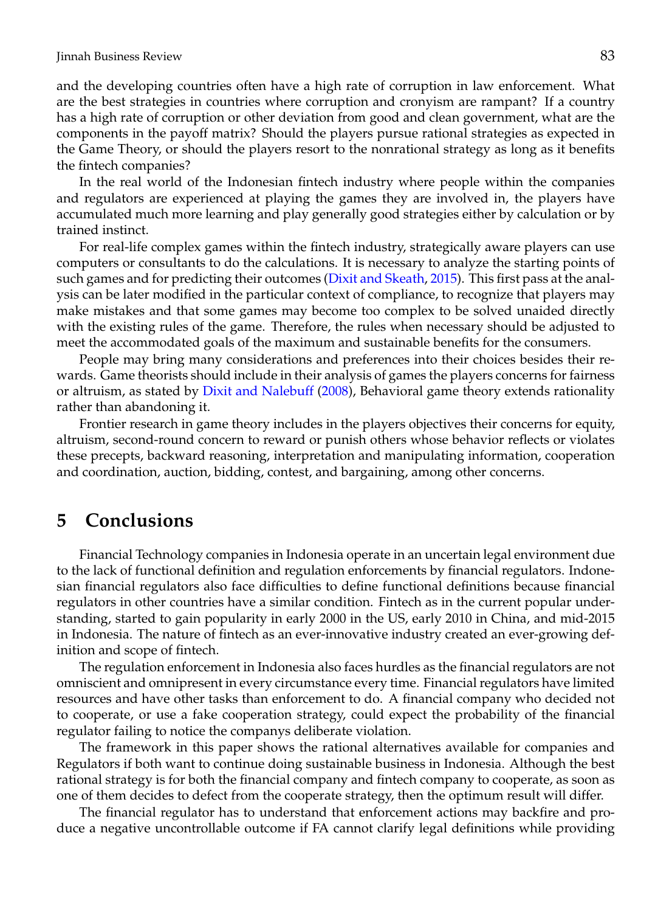and the developing countries often have a high rate of corruption in law enforcement. What are the best strategies in countries where corruption and cronyism are rampant? If a country has a high rate of corruption or other deviation from good and clean government, what are the components in the payoff matrix? Should the players pursue rational strategies as expected in the Game Theory, or should the players resort to the nonrational strategy as long as it benefits the fintech companies?

In the real world of the Indonesian fintech industry where people within the companies and regulators are experienced at playing the games they are involved in, the players have accumulated much more learning and play generally good strategies either by calculation or by trained instinct.

For real-life complex games within the fintech industry, strategically aware players can use computers or consultants to do the calculations. It is necessary to analyze the starting points of such games and for predicting their outcomes [\(Dixit and Skeath,](#page-10-6) [2015\)](#page-10-6). This first pass at the analysis can be later modified in the particular context of compliance, to recognize that players may make mistakes and that some games may become too complex to be solved unaided directly with the existing rules of the game. Therefore, the rules when necessary should be adjusted to meet the accommodated goals of the maximum and sustainable benefits for the consumers.

People may bring many considerations and preferences into their choices besides their rewards. Game theorists should include in their analysis of games the players concerns for fairness or altruism, as stated by [Dixit and Nalebuff](#page-10-5) [\(2008\)](#page-10-5), Behavioral game theory extends rationality rather than abandoning it.

Frontier research in game theory includes in the players objectives their concerns for equity, altruism, second-round concern to reward or punish others whose behavior reflects or violates these precepts, backward reasoning, interpretation and manipulating information, cooperation and coordination, auction, bidding, contest, and bargaining, among other concerns.

#### **5 Conclusions**

Financial Technology companies in Indonesia operate in an uncertain legal environment due to the lack of functional definition and regulation enforcements by financial regulators. Indonesian financial regulators also face difficulties to define functional definitions because financial regulators in other countries have a similar condition. Fintech as in the current popular understanding, started to gain popularity in early 2000 in the US, early 2010 in China, and mid-2015 in Indonesia. The nature of fintech as an ever-innovative industry created an ever-growing definition and scope of fintech.

The regulation enforcement in Indonesia also faces hurdles as the financial regulators are not omniscient and omnipresent in every circumstance every time. Financial regulators have limited resources and have other tasks than enforcement to do. A financial company who decided not to cooperate, or use a fake cooperation strategy, could expect the probability of the financial regulator failing to notice the companys deliberate violation.

The framework in this paper shows the rational alternatives available for companies and Regulators if both want to continue doing sustainable business in Indonesia. Although the best rational strategy is for both the financial company and fintech company to cooperate, as soon as one of them decides to defect from the cooperate strategy, then the optimum result will differ.

The financial regulator has to understand that enforcement actions may backfire and produce a negative uncontrollable outcome if FA cannot clarify legal definitions while providing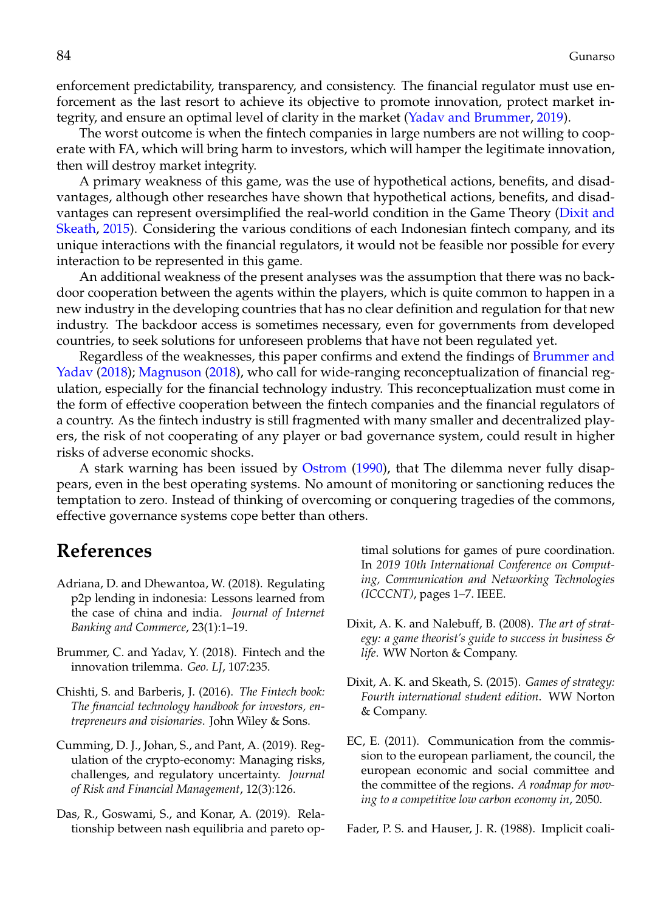enforcement predictability, transparency, and consistency. The financial regulator must use enforcement as the last resort to achieve its objective to promote innovation, protect market integrity, and ensure an optimal level of clarity in the market [\(Yadav and Brummer,](#page-12-3) [2019\)](#page-12-3).

The worst outcome is when the fintech companies in large numbers are not willing to cooperate with FA, which will bring harm to investors, which will hamper the legitimate innovation, then will destroy market integrity.

A primary weakness of this game, was the use of hypothetical actions, benefits, and disadvantages, although other researches have shown that hypothetical actions, benefits, and disadvantages can represent oversimplified the real-world condition in the Game Theory [\(Dixit and](#page-10-6) [Skeath,](#page-10-6) [2015\)](#page-10-6). Considering the various conditions of each Indonesian fintech company, and its unique interactions with the financial regulators, it would not be feasible nor possible for every interaction to be represented in this game.

An additional weakness of the present analyses was the assumption that there was no backdoor cooperation between the agents within the players, which is quite common to happen in a new industry in the developing countries that has no clear definition and regulation for that new industry. The backdoor access is sometimes necessary, even for governments from developed countries, to seek solutions for unforeseen problems that have not been regulated yet.

Regardless of the weaknesses, this paper confirms and extend the findings of [Brummer and](#page-10-8) [Yadav](#page-10-8) [\(2018\)](#page-10-8); [Magnuson](#page-11-3) [\(2018\)](#page-11-3), who call for wide-ranging reconceptualization of financial regulation, especially for the financial technology industry. This reconceptualization must come in the form of effective cooperation between the fintech companies and the financial regulators of a country. As the fintech industry is still fragmented with many smaller and decentralized players, the risk of not cooperating of any player or bad governance system, could result in higher risks of adverse economic shocks.

A stark warning has been issued by [Ostrom](#page-11-26) [\(1990\)](#page-11-26), that The dilemma never fully disappears, even in the best operating systems. No amount of monitoring or sanctioning reduces the temptation to zero. Instead of thinking of overcoming or conquering tragedies of the commons, effective governance systems cope better than others.

### **References**

- <span id="page-10-1"></span>Adriana, D. and Dhewantoa, W. (2018). Regulating p2p lending in indonesia: Lessons learned from the case of china and india. *Journal of Internet Banking and Commerce*, 23(1):1–19.
- <span id="page-10-8"></span>Brummer, C. and Yadav, Y. (2018). Fintech and the innovation trilemma. *Geo. LJ*, 107:235.
- <span id="page-10-4"></span>Chishti, S. and Barberis, J. (2016). *The Fintech book: The financial technology handbook for investors, entrepreneurs and visionaries*. John Wiley & Sons.
- <span id="page-10-0"></span>Cumming, D. J., Johan, S., and Pant, A. (2019). Regulation of the crypto-economy: Managing risks, challenges, and regulatory uncertainty. *Journal of Risk and Financial Management*, 12(3):126.
- <span id="page-10-7"></span>Das, R., Goswami, S., and Konar, A. (2019). Relationship between nash equilibria and pareto op-

timal solutions for games of pure coordination. In *2019 10th International Conference on Computing, Communication and Networking Technologies (ICCCNT)*, pages 1–7. IEEE.

- <span id="page-10-5"></span>Dixit, A. K. and Nalebuff, B. (2008). *The art of strategy: a game theorist's guide to success in business & life*. WW Norton & Company.
- <span id="page-10-6"></span>Dixit, A. K. and Skeath, S. (2015). *Games of strategy: Fourth international student edition*. WW Norton & Company.
- <span id="page-10-3"></span>EC, E. (2011). Communication from the commission to the european parliament, the council, the european economic and social committee and the committee of the regions. *A roadmap for moving to a competitive low carbon economy in*, 2050.

<span id="page-10-2"></span>Fader, P. S. and Hauser, J. R. (1988). Implicit coali-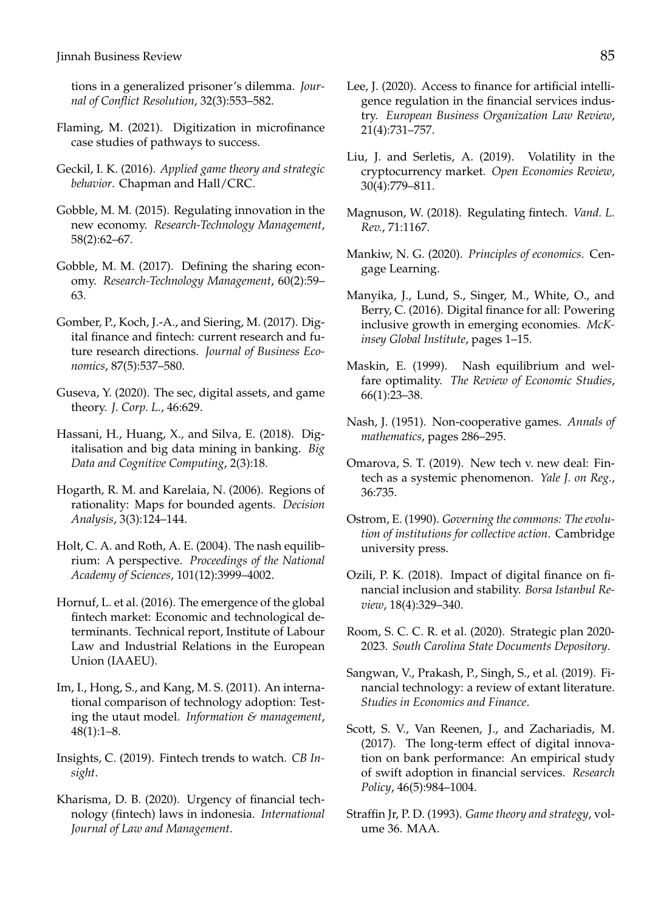tions in a generalized prisoner's dilemma. *Journal of Conflict Resolution*, 32(3):553–582.

- <span id="page-11-11"></span>Flaming, M. (2021). Digitization in microfinance case studies of pathways to success.
- <span id="page-11-22"></span>Geckil, I. K. (2016). *Applied game theory and strategic behavior*. Chapman and Hall/CRC.
- <span id="page-11-14"></span>Gobble, M. M. (2015). Regulating innovation in the new economy. *Research-Technology Management*, 58(2):62–67.
- <span id="page-11-0"></span>Gobble, M. M. (2017). Defining the sharing economy. *Research-Technology Management*, 60(2):59– 63.
- <span id="page-11-7"></span>Gomber, P., Koch, J.-A., and Siering, M. (2017). Digital finance and fintech: current research and future research directions. *Journal of Business Economics*, 87(5):537–580.
- <span id="page-11-5"></span>Guseva, Y. (2020). The sec, digital assets, and game theory. *J. Corp. L.*, 46:629.
- <span id="page-11-13"></span>Hassani, H., Huang, X., and Silva, E. (2018). Digitalisation and big data mining in banking. *Big Data and Cognitive Computing*, 2(3):18.
- <span id="page-11-23"></span>Hogarth, R. M. and Karelaia, N. (2006). Regions of rationality: Maps for bounded agents. *Decision Analysis*, 3(3):124–144.
- <span id="page-11-21"></span>Holt, C. A. and Roth, A. E. (2004). The nash equilibrium: A perspective. *Proceedings of the National Academy of Sciences*, 101(12):3999–4002.
- <span id="page-11-10"></span>Hornuf, L. et al. (2016). The emergence of the global fintech market: Economic and technological determinants. Technical report, Institute of Labour Law and Industrial Relations in the European Union (IAAEU).
- <span id="page-11-16"></span>Im, I., Hong, S., and Kang, M. S. (2011). An international comparison of technology adoption: Testing the utaut model. *Information & management*, 48(1):1–8.
- <span id="page-11-17"></span>Insights, C. (2019). Fintech trends to watch. *CB Insight*.
- <span id="page-11-4"></span>Kharisma, D. B. (2020). Urgency of financial technology (fintech) laws in indonesia. *International Journal of Law and Management*.
- <span id="page-11-1"></span>Lee, J. (2020). Access to finance for artificial intelligence regulation in the financial services industry. *European Business Organization Law Review*, 21(4):731–757.
- <span id="page-11-2"></span>Liu, J. and Serletis, A. (2019). Volatility in the cryptocurrency market. *Open Economies Review*, 30(4):779–811.
- <span id="page-11-3"></span>Magnuson, W. (2018). Regulating fintech. *Vand. L. Rev.*, 71:1167.
- <span id="page-11-20"></span>Mankiw, N. G. (2020). *Principles of economics*. Cengage Learning.
- <span id="page-11-6"></span>Manyika, J., Lund, S., Singer, M., White, O., and Berry, C. (2016). Digital finance for all: Powering inclusive growth in emerging economies. *McKinsey Global Institute*, pages 1–15.
- <span id="page-11-24"></span>Maskin, E. (1999). Nash equilibrium and welfare optimality. *The Review of Economic Studies*, 66(1):23–38.
- <span id="page-11-25"></span>Nash, J. (1951). Non-cooperative games. *Annals of mathematics*, pages 286–295.
- <span id="page-11-8"></span>Omarova, S. T. (2019). New tech v. new deal: Fintech as a systemic phenomenon. *Yale J. on Reg.*, 36:735.
- <span id="page-11-26"></span>Ostrom, E. (1990). *Governing the commons: The evolution of institutions for collective action*. Cambridge university press.
- <span id="page-11-9"></span>Ozili, P. K. (2018). Impact of digital finance on financial inclusion and stability. *Borsa Istanbul Review*, 18(4):329–340.
- <span id="page-11-18"></span>Room, S. C. C. R. et al. (2020). Strategic plan 2020- 2023. *South Carolina State Documents Depository*.
- <span id="page-11-15"></span>Sangwan, V., Prakash, P., Singh, S., et al. (2019). Financial technology: a review of extant literature. *Studies in Economics and Finance*.
- <span id="page-11-12"></span>Scott, S. V., Van Reenen, J., and Zachariadis, M. (2017). The long-term effect of digital innovation on bank performance: An empirical study of swift adoption in financial services. *Research Policy*, 46(5):984–1004.
- <span id="page-11-19"></span>Straffin Jr, P. D. (1993). *Game theory and strategy*, volume 36. MAA.